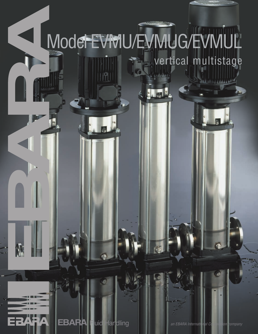# Model EVMU/EVMUG/EVMUL **vertical multistage**

 $\blacksquare$ 

 $\blacktriangleleft$ 

**EBARA** Fuid Handling  $\|\cdot\|$  an EBARA International Corporation company